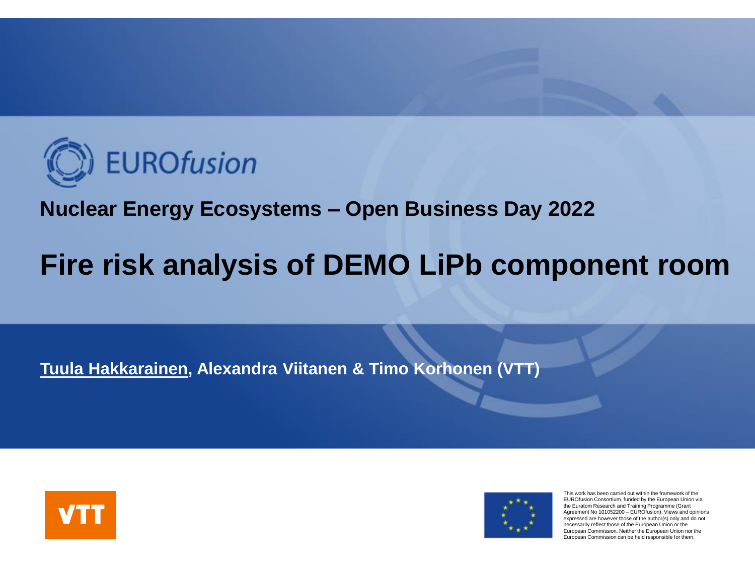

#### **Nuclear Energy Ecosystems – Open Business Day 2022**

## **Fire risk analysis of DEMO LiPb component room**

**Tuula Hakkarainen, Alexandra Viitanen & Timo Korhonen (VTT)**





This work has been carried out within the framework of the EUROfusion Consortium, funded by the European Union via the Euratom Research and Training Programme (Grant Agreement No 101052200 − EUROfusion). Views and opinions expressed are however those of the author(s) only and do not necessarily reflect those of the European Union or the European Commission. Neither the European Union nor the European Commission can be held responsible for them.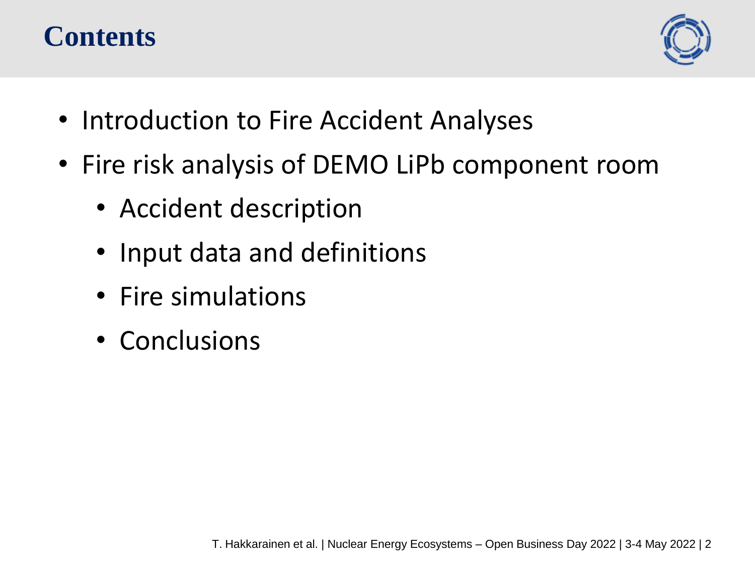### **Contents**



- Introduction to Fire Accident Analyses
- Fire risk analysis of DEMO LiPb component room
	- Accident description
	- Input data and definitions
	- Fire simulations
	- Conclusions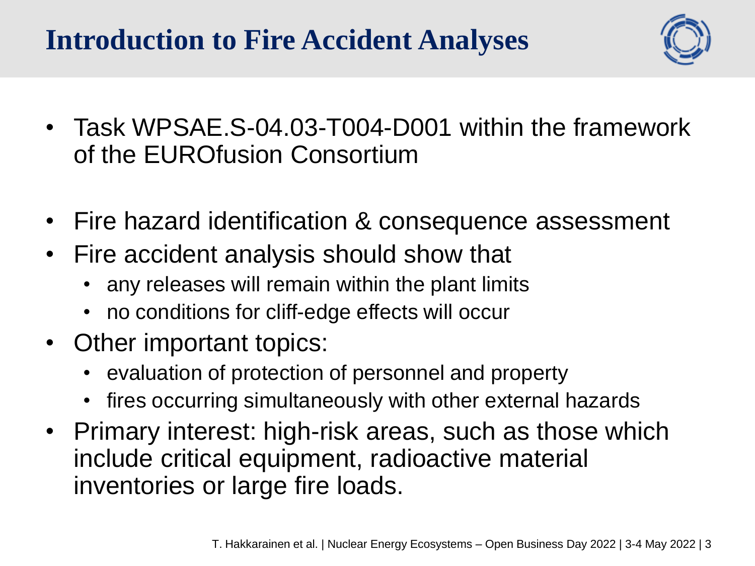## **Introduction to Fire Accident Analyses**



- Task WPSAE.S-04.03-T004-D001 within the framework of the EUROfusion Consortium
- Fire hazard identification & consequence assessment
- Fire accident analysis should show that
	- any releases will remain within the plant limits
	- no conditions for cliff-edge effects will occur
- Other important topics:
	- evaluation of protection of personnel and property
	- fires occurring simultaneously with other external hazards
- Primary interest: high-risk areas, such as those which include critical equipment, radioactive material inventories or large fire loads.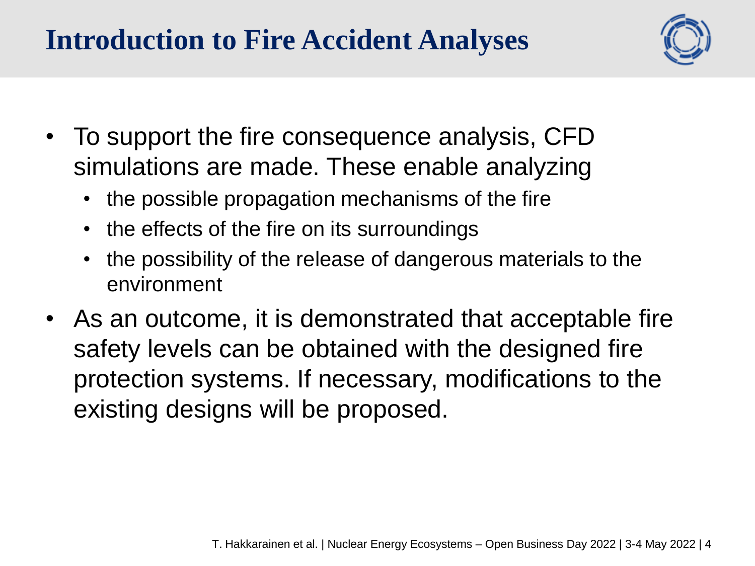## **Introduction to Fire Accident Analyses**



- To support the fire consequence analysis, CFD simulations are made. These enable analyzing
	- the possible propagation mechanisms of the fire
	- the effects of the fire on its surroundings
	- the possibility of the release of dangerous materials to the environment
- As an outcome, it is demonstrated that acceptable fire safety levels can be obtained with the designed fire protection systems. If necessary, modifications to the existing designs will be proposed.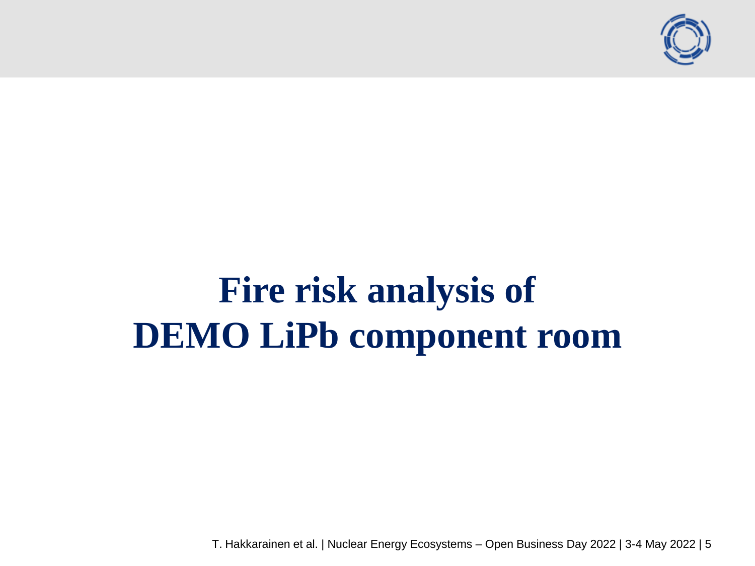

# **Fire risk analysis of DEMO LiPb component room**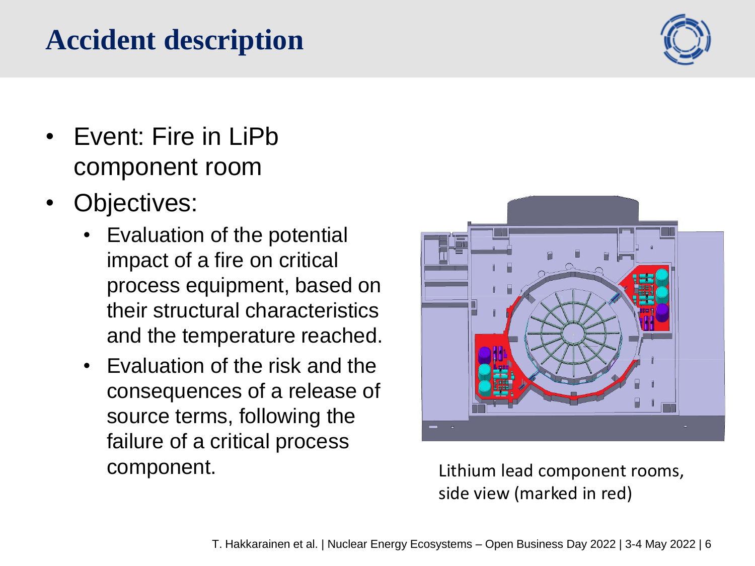#### T. Hakkarainen et al. | Nuclear Energy Ecosystems – Open Business Day 2022 | 3-4 May 2022 | 6

### **Accident description**

- Event: Fire in LiPb component room
- Objectives:
	- Evaluation of the potential impact of a fire on critical process equipment, based on their structural characteristics and the temperature reached.
	- Evaluation of the risk and the consequences of a release of source terms, following the failure of a critical process component.

Lithium lead component rooms, side view (marked in red)



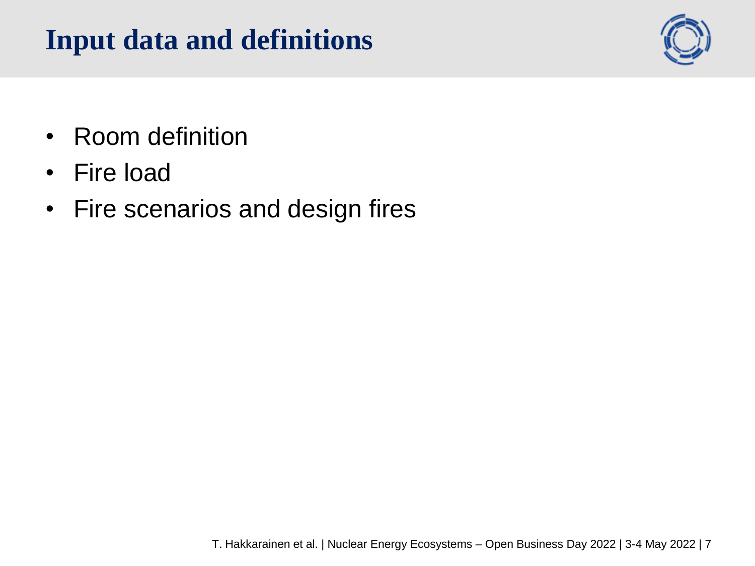## **Input data and definitions**



- Room definition
- Fire load
- Fire scenarios and design fires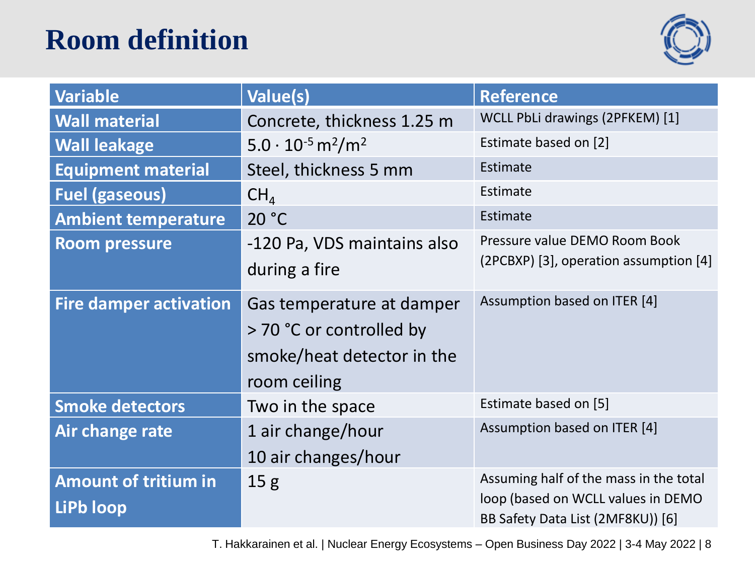## **Room definition**



| <b>Variable</b>                          | <b>Value(s)</b>                                                                                     | <b>Reference</b>                                                                                                  |
|------------------------------------------|-----------------------------------------------------------------------------------------------------|-------------------------------------------------------------------------------------------------------------------|
| <b>Wall material</b>                     | Concrete, thickness 1.25 m                                                                          | WCLL PbLi drawings (2PFKEM) [1]                                                                                   |
| <b>Wall leakage</b>                      | $5.0 \cdot 10^{-5}$ m <sup>2</sup> /m <sup>2</sup>                                                  | Estimate based on [2]                                                                                             |
| <b>Equipment material</b>                | Steel, thickness 5 mm                                                                               | Estimate                                                                                                          |
| <b>Fuel (gaseous)</b>                    | CH <sub>4</sub>                                                                                     | Estimate                                                                                                          |
| <b>Ambient temperature</b>               | 20 °C                                                                                               | Estimate                                                                                                          |
| <b>Room pressure</b>                     | -120 Pa, VDS maintains also<br>during a fire                                                        | Pressure value DEMO Room Book<br>(2PCBXP) [3], operation assumption [4]                                           |
| <b>Fire damper activation</b>            | Gas temperature at damper<br>> 70 °C or controlled by<br>smoke/heat detector in the<br>room ceiling | Assumption based on ITER [4]                                                                                      |
| <b>Smoke detectors</b>                   | Two in the space                                                                                    | Estimate based on [5]                                                                                             |
| Air change rate                          | 1 air change/hour<br>10 air changes/hour                                                            | Assumption based on ITER [4]                                                                                      |
| <b>Amount of tritium in</b><br>LiPb loop | 15 <sub>g</sub>                                                                                     | Assuming half of the mass in the total<br>loop (based on WCLL values in DEMO<br>BB Safety Data List (2MF8KU)) [6] |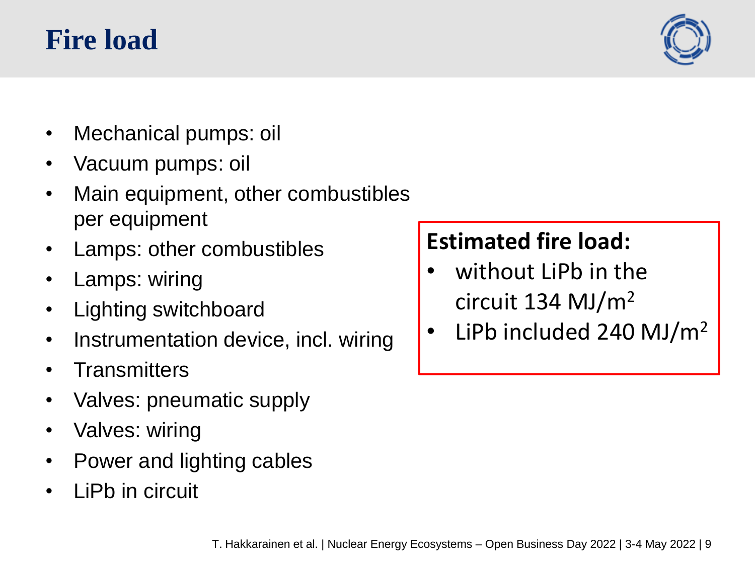### **Fire load**



- Mechanical pumps: oil
- Vacuum pumps: oil
- Main equipment, other combustibles per equipment
- Lamps: other combustibles
- Lamps: wiring
- Lighting switchboard
- Instrumentation device, incl. wiring
- **Transmitters**
- Valves: pneumatic supply
- Valves: wiring
- Power and lighting cables
- LiPb in circuit

### **Estimated fire load:**

- without LiPb in the circuit 134 MJ/m<sup>2</sup>
- LiPb included 240 MJ/m<sup>2</sup>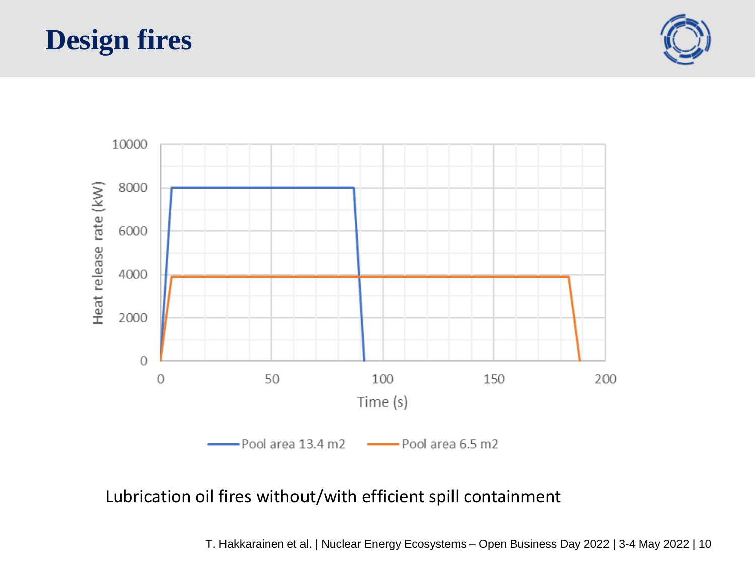### **Design fires**





#### Lubrication oil fires without/with efficient spill containment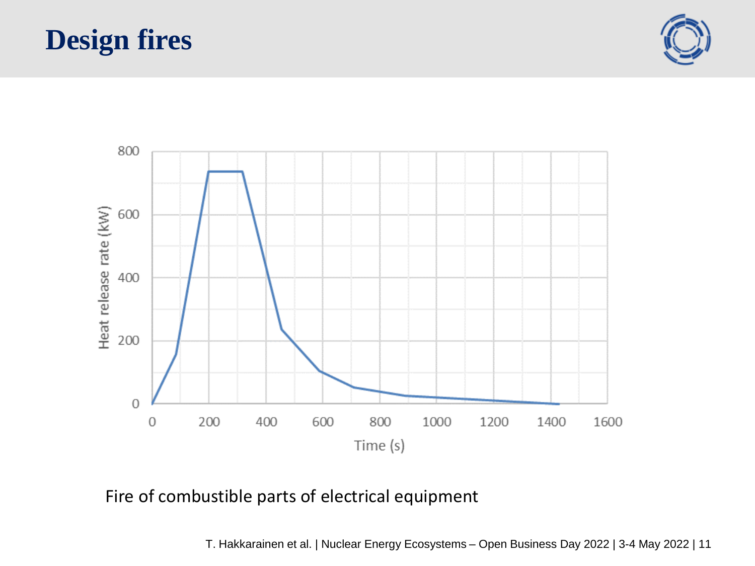### **Design fires**





#### Fire of combustible parts of electrical equipment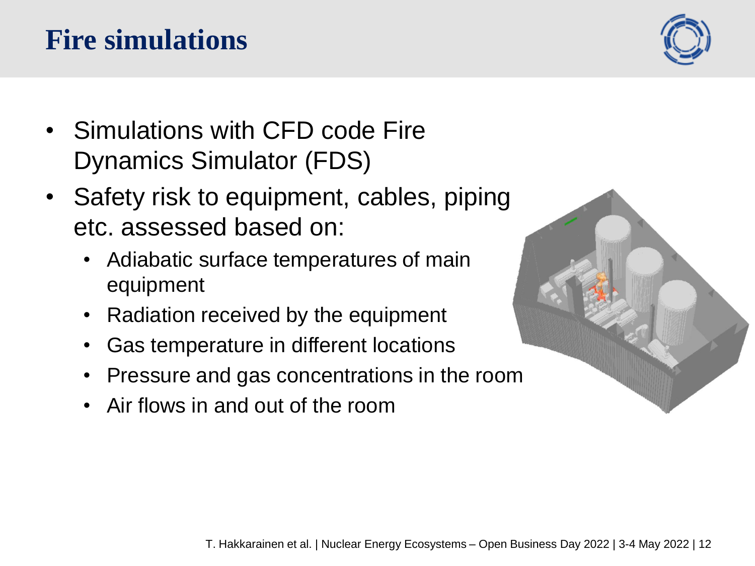#### T. Hakkarainen et al. | Nuclear Energy Ecosystems – Open Business Day 2022 | 3-4 May 2022 | 12

## **Fire simulations**

- Simulations with CFD code Fire Dynamics Simulator (FDS)
- Safety risk to equipment, cables, piping etc. assessed based on:
	- Adiabatic surface temperatures of main equipment
	- Radiation received by the equipment
	- Gas temperature in different locations
	- Pressure and gas concentrations in the room
	- Air flows in and out of the room



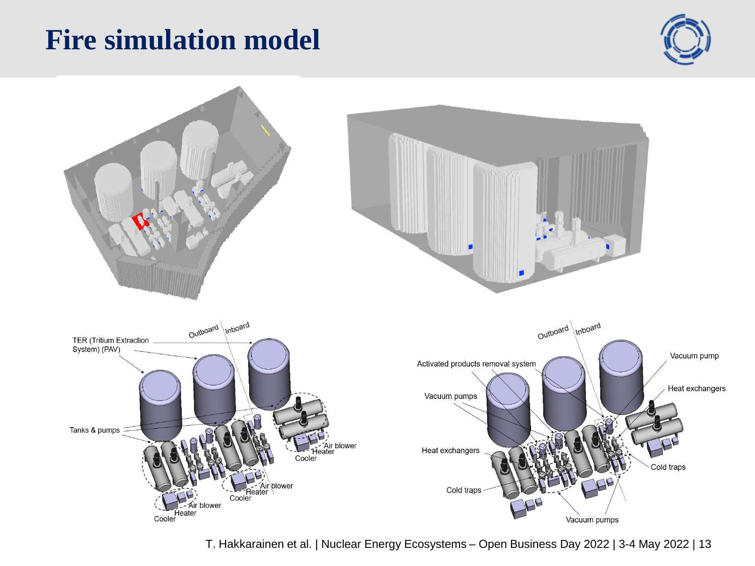### **Fire simulation model**



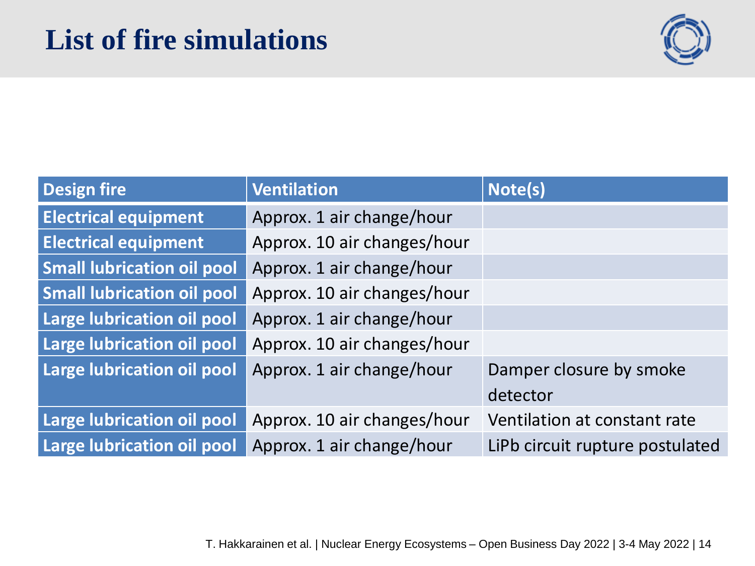### **List of fire simulations**



| <b>Design fire</b>                | <b>Ventilation</b>          | Note(s)                         |
|-----------------------------------|-----------------------------|---------------------------------|
| <b>Electrical equipment</b>       | Approx. 1 air change/hour   |                                 |
| <b>Electrical equipment</b>       | Approx. 10 air changes/hour |                                 |
| <b>Small lubrication oil pool</b> | Approx. 1 air change/hour   |                                 |
| <b>Small lubrication oil pool</b> | Approx. 10 air changes/hour |                                 |
| Large lubrication oil pool        | Approx. 1 air change/hour   |                                 |
| Large lubrication oil pool        | Approx. 10 air changes/hour |                                 |
| Large lubrication oil pool        | Approx. 1 air change/hour   | Damper closure by smoke         |
|                                   |                             | detector                        |
| <b>Large lubrication oil pool</b> | Approx. 10 air changes/hour | Ventilation at constant rate    |
| Large lubrication oil pool        | Approx. 1 air change/hour   | LiPb circuit rupture postulated |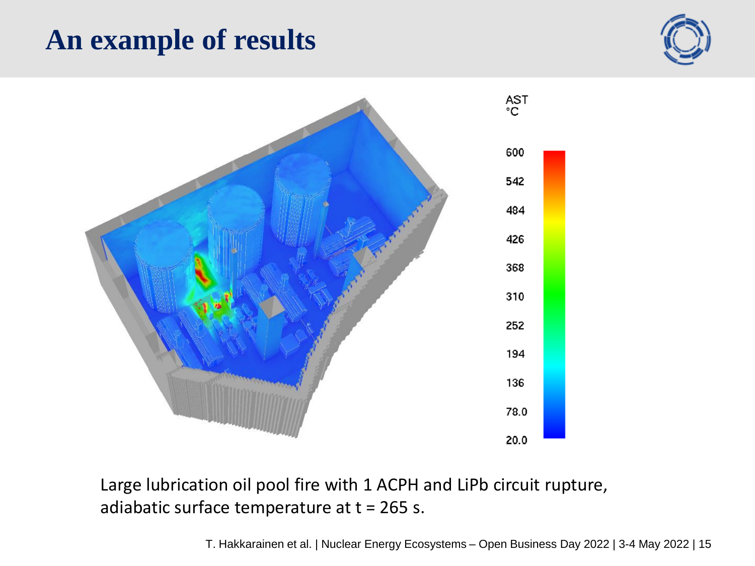### **An example of results**





Large lubrication oil pool fire with 1 ACPH and LiPb circuit rupture, adiabatic surface temperature at  $t = 265$  s.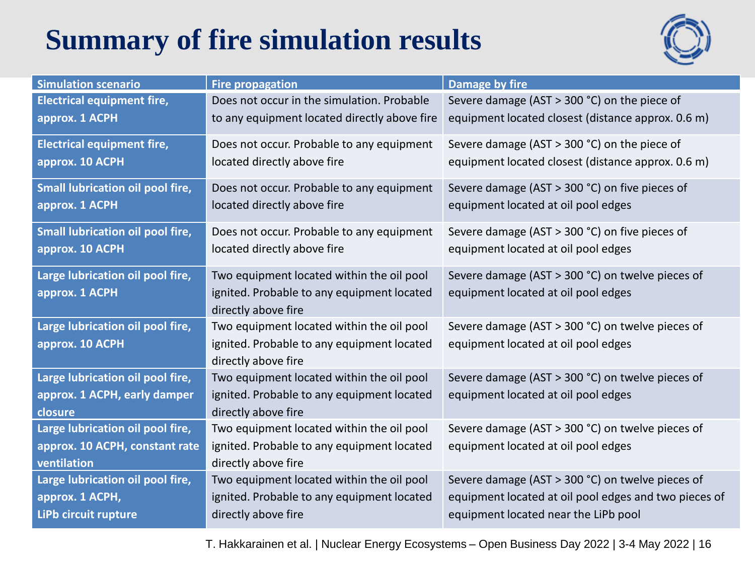## **Summary of fire simulation results**



| <b>Simulation scenario</b>        | <b>Fire propagation</b>                      | Damage by fire                                        |
|-----------------------------------|----------------------------------------------|-------------------------------------------------------|
| <b>Electrical equipment fire,</b> | Does not occur in the simulation. Probable   | Severe damage (AST > 300 °C) on the piece of          |
| approx. 1 ACPH                    | to any equipment located directly above fire | equipment located closest (distance approx. 0.6 m)    |
| <b>Electrical equipment fire,</b> | Does not occur. Probable to any equipment    | Severe damage (AST > 300 °C) on the piece of          |
| approx. 10 ACPH                   | located directly above fire                  | equipment located closest (distance approx. 0.6 m)    |
| Small lubrication oil pool fire,  | Does not occur. Probable to any equipment    | Severe damage (AST > 300 °C) on five pieces of        |
| approx. 1 ACPH                    | located directly above fire                  | equipment located at oil pool edges                   |
| Small lubrication oil pool fire,  | Does not occur. Probable to any equipment    | Severe damage (AST > 300 °C) on five pieces of        |
| approx. 10 ACPH                   | located directly above fire                  | equipment located at oil pool edges                   |
| Large lubrication oil pool fire,  | Two equipment located within the oil pool    | Severe damage (AST > 300 °C) on twelve pieces of      |
| approx. 1 ACPH                    | ignited. Probable to any equipment located   | equipment located at oil pool edges                   |
|                                   | directly above fire                          |                                                       |
| Large lubrication oil pool fire,  | Two equipment located within the oil pool    | Severe damage (AST > 300 °C) on twelve pieces of      |
| approx. 10 ACPH                   | ignited. Probable to any equipment located   | equipment located at oil pool edges                   |
|                                   | directly above fire                          |                                                       |
| Large lubrication oil pool fire,  | Two equipment located within the oil pool    | Severe damage (AST > 300 °C) on twelve pieces of      |
| approx. 1 ACPH, early damper      | ignited. Probable to any equipment located   | equipment located at oil pool edges                   |
| closure                           | directly above fire                          |                                                       |
| Large lubrication oil pool fire,  | Two equipment located within the oil pool    | Severe damage (AST > 300 °C) on twelve pieces of      |
| approx. 10 ACPH, constant rate    | ignited. Probable to any equipment located   | equipment located at oil pool edges                   |
| ventilation                       | directly above fire                          |                                                       |
| Large lubrication oil pool fire,  | Two equipment located within the oil pool    | Severe damage (AST > 300 °C) on twelve pieces of      |
| approx. 1 ACPH,                   | ignited. Probable to any equipment located   | equipment located at oil pool edges and two pieces of |
| LiPb circuit rupture              | directly above fire                          | equipment located near the LiPb pool                  |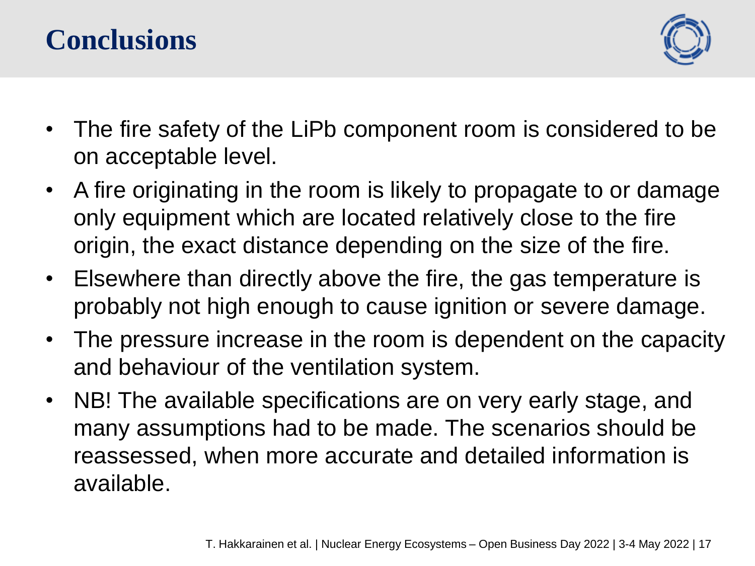### **Conclusions**



- The fire safety of the LiPb component room is considered to be on acceptable level.
- A fire originating in the room is likely to propagate to or damage only equipment which are located relatively close to the fire origin, the exact distance depending on the size of the fire.
- Elsewhere than directly above the fire, the gas temperature is probably not high enough to cause ignition or severe damage.
- The pressure increase in the room is dependent on the capacity and behaviour of the ventilation system.
- NB! The available specifications are on very early stage, and many assumptions had to be made. The scenarios should be reassessed, when more accurate and detailed information is available.